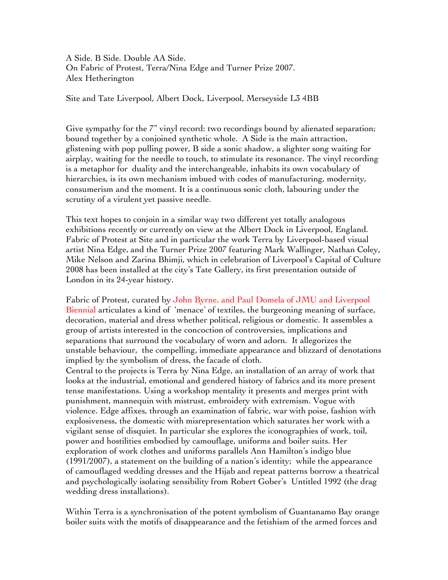A Side. B Side. Double AA Side. On Fabric of Protest, Terra/Nina Edge and Turner Prize 2007. Alex Hetherington

Site and Tate Liverpool, Albert Dock, Liverpool, Merseyside L3 4BB

Give sympathy for the 7" vinyl record: two recordings bound by alienated separation; bound together by a conjoined synthetic whole. A Side is the main attraction, glistening with pop pulling power, B side a sonic shadow, a slighter song waiting for airplay, waiting for the needle to touch, to stimulate its resonance. The vinyl recording is a metaphor for duality and the interchangeable, inhabits its own vocabulary of hierarchies, is its own mechanism imbued with codes of manufacturing, modernity, consumerism and the moment. It is a continuous sonic cloth, labouring under the scrutiny of a virulent yet passive needle.

This text hopes to conjoin in a similar way two different yet totally analogous exhibitions recently or currently on view at the Albert Dock in Liverpool, England. Fabric of Protest at Site and in particular the work Terra by Liverpool-based visual artist Nina Edge, and the Turner Prize 2007 featuring Mark Wallinger, Nathan Coley, Mike Nelson and Zarina Bhimji, which in celebration of Liverpool's Capital of Culture 2008 has been installed at the city's Tate Gallery, its first presentation outside of London in its 24-year history.

Fabric of Protest, curated by John Byrne, and Paul Domela of JMU and Liverpool Biennial articulates a kind of 'menace' of textiles, the burgeoning meaning of surface, decoration, material and dress whether political, religious or domestic. It assembles a group of artists interested in the concoction of controversies, implications and separations that surround the vocabulary of worn and adorn. It allegorizes the unstable behaviour, the compelling, immediate appearance and blizzard of denotations implied by the symbolism of dress, the facade of cloth.

Central to the projects is Terra by Nina Edge, an installation of an array of work that looks at the industrial, emotional and gendered history of fabrics and its more present tense manifestations. Using a workshop mentality it presents and merges print with punishment, mannequin with mistrust, embroidery with extremism. Vogue with violence. Edge affixes, through an examination of fabric, war with poise, fashion with explosiveness, the domestic with misrepresentation which saturates her work with a vigilant sense of disquiet. In particular she explores the iconographies of work, toil, power and hostilities embodied by camouflage, uniforms and boiler suits. Her exploration of work clothes and uniforms parallels Ann Hamilton's indigo blue (1991/2007), a statement on the building of a nation's identity; while the appearance of camouflaged wedding dresses and the Hijab and repeat patterns borrow a theatrical and psychologically isolating sensibility from Robert Gober's Untitled 1992 (the drag wedding dress installations).

Within Terra is a synchronisation of the potent symbolism of Guantanamo Bay orange boiler suits with the motifs of disappearance and the fetishism of the armed forces and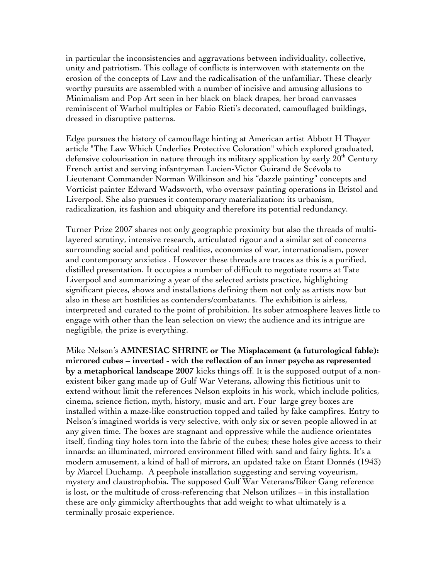in particular the inconsistencies and aggravations between individuality, collective, unity and patriotism. This collage of conflicts is interwoven with statements on the erosion of the concepts of Law and the radicalisation of the unfamiliar. These clearly worthy pursuits are assembled with a number of incisive and amusing allusions to Minimalism and Pop Art seen in her black on black drapes, her broad canvasses reminiscent of Warhol multiples or Fabio Rieti's decorated, camouflaged buildings, dressed in disruptive patterns.

Edge pursues the history of camouflage hinting at American artist Abbott H Thayer article "The Law Which Underlies Protective Coloration" which explored graduated, defensive colourisation in nature through its military application by early  $20<sup>th</sup>$  Century French artist and serving infantryman Lucien-Victor Guirand de Scévola to Lieutenant Commander Norman Wilkinson and his "dazzle painting" concepts and Vorticist painter Edward Wadsworth, who oversaw painting operations in Bristol and Liverpool. She also pursues it contemporary materialization: its urbanism, radicalization, its fashion and ubiquity and therefore its potential redundancy.

Turner Prize 2007 shares not only geographic proximity but also the threads of multilayered scrutiny, intensive research, articulated rigour and a similar set of concerns surrounding social and political realities, economies of war, internationalism, power and contemporary anxieties . However these threads are traces as this is a purified, distilled presentation. It occupies a number of difficult to negotiate rooms at Tate Liverpool and summarizing a year of the selected artists practice, highlighting significant pieces, shows and installations defining them not only as artists now but also in these art hostilities as contenders/combatants. The exhibition is airless, interpreted and curated to the point of prohibition. Its sober atmosphere leaves little to engage with other than the lean selection on view; the audience and its intrigue are negligible, the prize is everything.

Mike Nelson's **AMNESIAC SHRINE or The Misplacement (a futurological fable): mirrored cubes – inverted - with the reflection of an inner psyche as represented by a metaphorical landscape 2007** kicks things off. It is the supposed output of a nonexistent biker gang made up of Gulf War Veterans, allowing this fictitious unit to extend without limit the references Nelson exploits in his work, which include politics, cinema, science fiction, myth, history, music and art. Four large grey boxes are installed within a maze-like construction topped and tailed by fake campfires. Entry to Nelson's imagined worlds is very selective, with only six or seven people allowed in at any given time. The boxes are stagnant and oppressive while the audience orientates itself, finding tiny holes torn into the fabric of the cubes; these holes give access to their innards: an illuminated, mirrored environment filled with sand and fairy lights. It's a modern amusement, a kind of hall of mirrors, an updated take on Étant Donnés (1943) by Marcel Duchamp. A peephole installation suggesting and serving voyeurism, mystery and claustrophobia. The supposed Gulf War Veterans/Biker Gang reference is lost, or the multitude of cross-referencing that Nelson utilizes – in this installation these are only gimmicky afterthoughts that add weight to what ultimately is a terminally prosaic experience.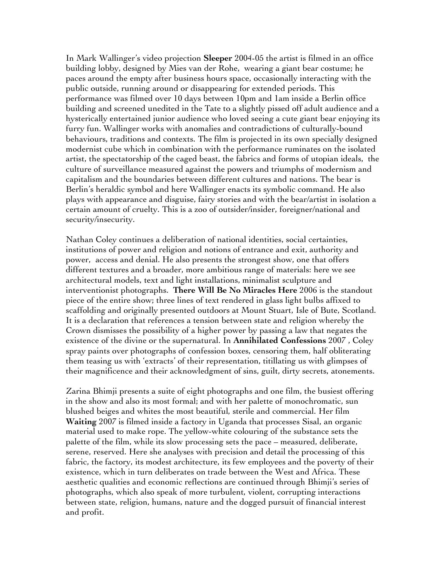In Mark Wallinger's video projection **Sleeper** 2004-05 the artist is filmed in an office building lobby, designed by Mies van der Rohe, wearing a giant bear costume; he paces around the empty after business hours space, occasionally interacting with the public outside, running around or disappearing for extended periods. This performance was filmed over 10 days between 10pm and 1am inside a Berlin office building and screened unedited in the Tate to a slightly pissed off adult audience and a hysterically entertained junior audience who loved seeing a cute giant bear enjoying its furry fun. Wallinger works with anomalies and contradictions of culturally-bound behaviours, traditions and contexts. The film is projected in its own specially designed modernist cube which in combination with the performance ruminates on the isolated artist, the spectatorship of the caged beast, the fabrics and forms of utopian ideals, the culture of surveillance measured against the powers and triumphs of modernism and capitalism and the boundaries between different cultures and nations. The bear is Berlin's heraldic symbol and here Wallinger enacts its symbolic command. He also plays with appearance and disguise, fairy stories and with the bear/artist in isolation a certain amount of cruelty. This is a zoo of outsider/insider, foreigner/national and security/insecurity.

Nathan Coley continues a deliberation of national identities, social certainties, institutions of power and religion and notions of entrance and exit, authority and power, access and denial. He also presents the strongest show, one that offers different textures and a broader, more ambitious range of materials: here we see architectural models, text and light installations, minimalist sculpture and interventionist photographs. **There Will Be No Miracles Here** 2006 is the standout piece of the entire show; three lines of text rendered in glass light bulbs affixed to scaffolding and originally presented outdoors at Mount Stuart, Isle of Bute, Scotland. It is a declaration that references a tension between state and religion whereby the Crown dismisses the possibility of a higher power by passing a law that negates the existence of the divine or the supernatural. In **Annihilated Confessions** 2007 , Coley spray paints over photographs of confession boxes, censoring them, half obliterating them teasing us with 'extracts' of their representation, titillating us with glimpses of their magnificence and their acknowledgment of sins, guilt, dirty secrets, atonements.

Zarina Bhimji presents a suite of eight photographs and one film, the busiest offering in the show and also its most formal; and with her palette of monochromatic, sun blushed beiges and whites the most beautiful, sterile and commercial. Her film **Waiting** 2007 is filmed inside a factory in Uganda that processes Sisal, an organic material used to make rope. The yellow-white colouring of the substance sets the palette of the film, while its slow processing sets the pace – measured, deliberate, serene, reserved. Here she analyses with precision and detail the processing of this fabric, the factory, its modest architecture, its few employees and the poverty of their existence, which in turn deliberates on trade between the West and Africa. These aesthetic qualities and economic reflections are continued through Bhimji's series of photographs, which also speak of more turbulent, violent, corrupting interactions between state, religion, humans, nature and the dogged pursuit of financial interest and profit.